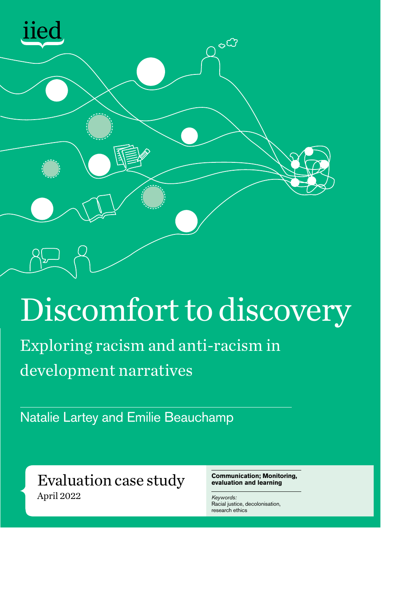

### Discomfort to discovery

Exploring racism and anti-racism in development narratives

Natalie Lartey and Emilie Beauchamp

Evaluation case study April 2022

**Communication; Monitoring, evaluation and learning**

*Keywords:* Racial justice, decolonisation, research ethics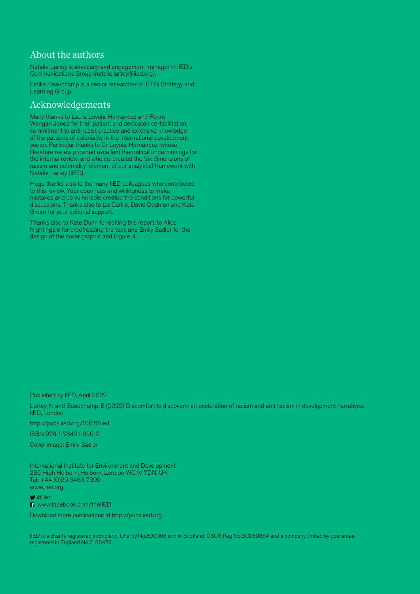#### About the authors

Natalie Lartey is advocacy and engagement manager in IIED's Communications Group ([natalie.lartey@iied.org\)](mailto:natalie.lartey%40iied.org?subject=).

Emilie Beauchamp is a senior researcher in IIED's Strategy and Learning Group.

#### Acknowledgements

Many thanks to Laura Loyola-Hernández and Penny Wangari Jones for their patient and dedicated co-facilitation, commitment to anti-racist practice and extensive knowledge of the patterns of coloniality in the international development sector. Particular thanks to Dr Loyola-Hernández, whose literature review provided excellent theoretical underpinnings for the internal review, and who co-created the 'six dimensions of racism and coloniality' element of our analytical framework with Natalie Lartey (IIED).

Huge thanks also to the many IIED colleagues who contributed to this review. Your openness and willingness to make mistakes and be vulnerable created the conditions for powerful discussions. Thanks also to Liz Carlile, David Dodman and Kate Green for your editorial support.

Thanks also to Kate Dunn for editing this report, to Alice Nightingale for proofreading the text, and Emily Sadler for the design of the cover graphic and Figure 4.

Published by IIED, April 2022

Lartey, N and Beauchamp, E (2022) Discomfort to discovery: an exploration of racism and anti-racism in development narratives*.*  IIED, London.

http://pubs.iied.org/20761iied

ISBN 978-1-78431-950-2

Cover image: Emily Sadler

International Institute for Environment and Development 235 High Holborn, Holborn, London WC1V 7DN, UK Tel: +44 (0)20 3463 7399 www.iied.org

 $\bullet$  @iied

**FI** www.facebook.com/theIIED

Download more publications at http://pubs.iied.org

IIED is a charity registered in England, Charity No.800066 and in Scotland, OSCR Reg No.SC039864 and a company limited by guarantee registered in England No.2188452.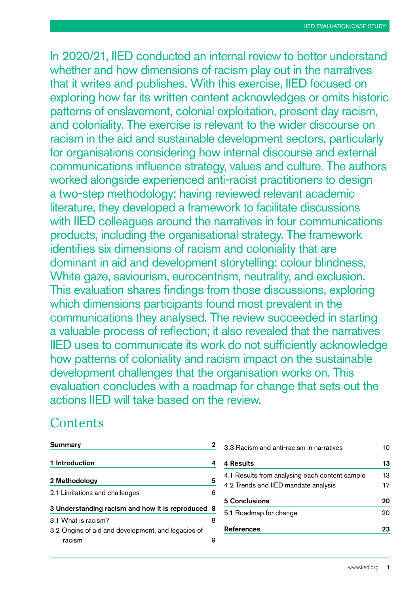In 2020/21, IIED conducted an internal review to better understand whether and how dimensions of racism play out in the narratives that it writes and publishes. With this exercise, IIED focused on exploring how far its written content acknowledges or omits historic patterns of enslavement, colonial exploitation, present day racism, and coloniality. The exercise is relevant to the wider discourse on racism in the aid and sustainable development sectors, particularly for organisations considering how internal discourse and external communications influence strategy, values and culture. The authors worked alongside experienced anti-racist practitioners to design a two-step methodology: having reviewed relevant academic literature, they developed a framework to facilitate discussions with IIED colleagues around the narratives in four communications products, including the organisational strategy. The framework identifies six dimensions of racism and coloniality that are dominant in aid and development storytelling: colour blindness, White gaze, saviourism, eurocentrism, neutrality, and exclusion. This evaluation shares findings from those discussions, exploring which dimensions participants found most prevalent in the communications they analysed. The review succeeded in starting a valuable process of reflection; it also revealed that the narratives IIED uses to communicate its work do not sufficiently acknowledge how patterns of coloniality and racism impact on the sustainable development challenges that the organisation works on. This evaluation concludes with a roadmap for change that sets out the actions IIED will take based on the review.

#### **Contents**

| <b>Summary</b>                                                             | 2  |
|----------------------------------------------------------------------------|----|
| 1 Introduction                                                             | 4  |
| 2 Methodology                                                              | 5  |
| 2.1 Limitations and challenges                                             | 6  |
| 3 Understanding racism and how it is reproduced                            | -8 |
| 3.1 What is racism?<br>3.2 Origins of aid and development, and legacies of | 8  |
| racism                                                                     | 9  |

| 3.3 Racism and anti-racism in narratives       |    |  |
|------------------------------------------------|----|--|
| <b>4 Results</b>                               | 13 |  |
| 4.1 Results from analysing each content sample | 13 |  |
| 4.2 Trends and IIED mandate analysis           | 17 |  |
| 5 Conclusions                                  | 20 |  |
| 5.1 Roadmap for change                         | 20 |  |
| <b>References</b>                              | 23 |  |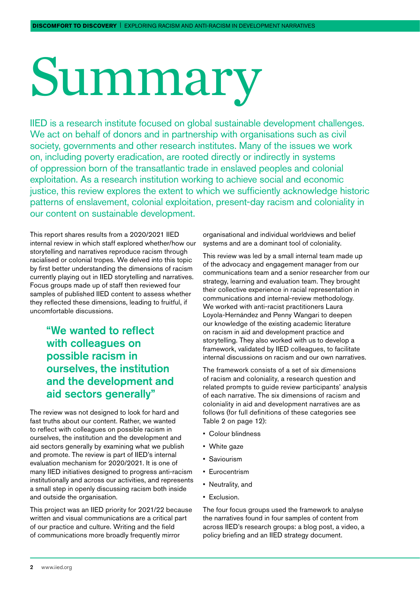## <span id="page-3-0"></span>Summary

IIED is a research institute focused on global sustainable development challenges. We act on behalf of donors and in partnership with organisations such as civil society, governments and other research institutes. Many of the issues we work on, including poverty eradication, are rooted directly or indirectly in systems of oppression born of the transatlantic trade in enslaved peoples and colonial exploitation. As a research institution working to achieve social and economic justice, this review explores the extent to which we sufficiently acknowledge historic patterns of enslavement, colonial exploitation, present-day racism and coloniality in our content on sustainable development.

This report shares results from a 2020/2021 IIED internal review in which staff explored whether/how our storytelling and narratives reproduce racism through racialised or colonial tropes. We delved into this topic by first better understanding the dimensions of racism currently playing out in IIED storytelling and narratives. Focus groups made up of staff then reviewed four samples of published IIED content to assess whether they reflected these dimensions, leading to fruitful, if uncomfortable discussions.

> "We wanted to reflect with colleagues on possible racism in ourselves, the institution and the development and aid sectors generally"

The review was not designed to look for hard and fast truths about our content. Rather, we wanted to reflect with colleagues on possible racism in ourselves, the institution and the development and aid sectors generally by examining what we publish and promote. The review is part of IIED's internal evaluation mechanism for 2020/2021. It is one of many IIED initiatives designed to progress anti-racism institutionally and across our activities, and represents a small step in openly discussing racism both inside and outside the organisation.

This project was an IIED priority for 2021/22 because written and visual communications are a critical part of our practice and culture. Writing and the field of communications more broadly frequently mirror

organisational and individual worldviews and belief systems and are a dominant tool of coloniality.

This review was led by a small internal team made up of the advocacy and engagement manager from our communications team and a senior researcher from our strategy, learning and evaluation team. They brought their collective experience in racial representation in communications and internal-review methodology. We worked with anti-racist practitioners Laura Loyola-Hernández and Penny Wangari to deepen our knowledge of the existing academic literature on racism in aid and development practice and storytelling. They also worked with us to develop a framework, validated by IIED colleagues, to facilitate internal discussions on racism and our own narratives.

The framework consists of a set of six dimensions of racism and coloniality, a research question and related prompts to guide review participants' analysis of each narrative. The six dimensions of racism and coloniality in aid and development narratives are as follows (for full definitions of these categories see Table 2 on page 12):

- Colour blindness
- White gaze
- Saviourism
- Eurocentrism
- Neutrality, and
- Exclusion.

The four focus groups used the framework to analyse the narratives found in four samples of content from across IIED's research groups: a blog post, a video, a policy briefing and an IIED strategy document.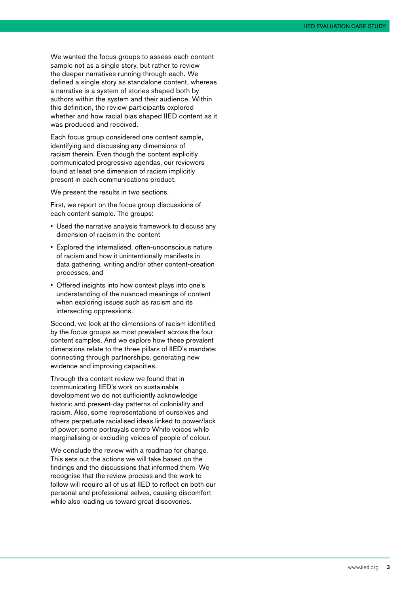We wanted the focus groups to assess each content sample not as a single story, but rather to review the deeper narratives running through each. We defined a single story as standalone content, whereas a narrative is a system of stories shaped both by authors within the system and their audience. Within this definition, the review participants explored whether and how racial bias shaped IIED content as it was produced and received.

Each focus group considered one content sample, identifying and discussing any dimensions of racism therein. Even though the content explicitly communicated progressive agendas, our reviewers found at least one dimension of racism implicitly present in each communications product.

We present the results in two sections.

First, we report on the focus group discussions of each content sample. The groups:

- Used the narrative analysis framework to discuss any dimension of racism in the content
- Explored the internalised, often-unconscious nature of racism and how it unintentionally manifests in data gathering, writing and/or other content-creation processes, and
- Offered insights into how context plays into one's understanding of the nuanced meanings of content when exploring issues such as racism and its intersecting oppressions.

Second, we look at the dimensions of racism identified by the focus groups as most prevalent across the four content samples. And we explore how these prevalent dimensions relate to the three pillars of IIED's mandate: connecting through partnerships, generating new evidence and improving capacities.

Through this content review we found that in communicating IIED's work on sustainable development we do not sufficiently acknowledge historic and present-day patterns of coloniality and racism. Also, some representations of ourselves and others perpetuate racialised ideas linked to power/lack of power; some portrayals centre White voices while marginalising or excluding voices of people of colour.

We conclude the review with a roadmap for change. This sets out the actions we will take based on the findings and the discussions that informed them. We recognise that the review process and the work to follow will require all of us at IIED to reflect on both our personal and professional selves, causing discomfort while also leading us toward great discoveries.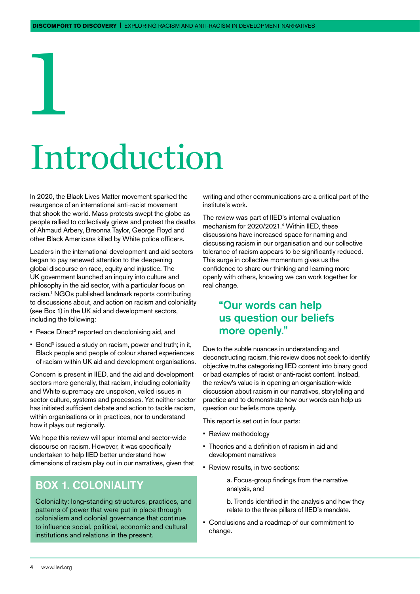## Introduction

In 2020, the Black Lives Matter movement sparked the resurgence of an international anti-racist movement that shook the world. Mass protests swept the globe as people rallied to collectively grieve and protest the deaths of Ahmaud Arbery, Breonna Taylor, George Floyd and other Black Americans killed by White police officers.

<span id="page-5-0"></span>1

Leaders in the international development and aid sectors began to pay renewed attention to the deepening global discourse on race, equity and injustice. The UK government launched an inquiry into culture and philosophy in the aid sector, with a particular focus on racism.1 NGOs published landmark reports contributing to discussions about, and action on racism and coloniality (see Box 1) in the UK aid and development sectors, including the following:

- Peace Direct<sup>2</sup> reported on decolonising aid, and
- **Bond<sup>3</sup>** issued a study on racism, power and truth; in it, Black people and people of colour shared experiences of racism within UK aid and development organisations.

Concern is present in IIED, and the aid and development sectors more generally, that racism, including coloniality and White supremacy are unspoken, veiled issues in sector culture, systems and processes. Yet neither sector has initiated sufficient debate and action to tackle racism, within organisations or in practices, nor to understand how it plays out regionally.

We hope this review will spur internal and sector-wide discourse on racism. However, it was specifically undertaken to help IIED better understand how dimensions of racism play out in our narratives, given that

#### BOX 1. COLONIALITY

Coloniality: long-standing structures, practices, and patterns of power that were put in place through colonialism and colonial governance that continue to influence social, political, economic and cultural institutions and relations in the present.

writing and other communications are a critical part of the institute's work.

The review was part of IIED's internal evaluation mechanism for 2020/2021.4 Within IIED, these discussions have increased space for naming and discussing racism in our organisation and our collective tolerance of racism appears to be significantly reduced. This surge in collective momentum gives us the confidence to share our thinking and learning more openly with others, knowing we can work together for real change.

#### "Our words can help us question our beliefs more openly."

Due to the subtle nuances in understanding and deconstructing racism, this review does not seek to identify objective truths categorising IIED content into binary good or bad examples of racist or anti-racist content. Instead, the review's value is in opening an organisation-wide discussion about racism in our narratives, storytelling and practice and to demonstrate how our words can help us question our beliefs more openly.

This report is set out in four parts:

- Review methodology
- Theories and a definition of racism in aid and development narratives
- Review results, in two sections:

a. Focus-group findings from the narrative analysis, and

b. Trends identified in the analysis and how they relate to the three pillars of IIED's mandate.

• Conclusions and a roadmap of our commitment to change.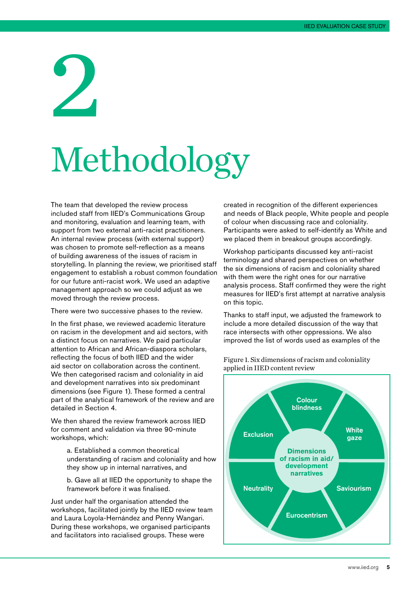<span id="page-6-0"></span>2

## Methodology

The team that developed the review process included staff from IIED's Communications Group and monitoring, evaluation and learning team, with support from two external anti-racist practitioners. An internal review process (with external support) was chosen to promote self-reflection as a means of building awareness of the issues of racism in storytelling. In planning the review, we prioritised staff engagement to establish a robust common foundation for our future anti-racist work. We used an adaptive management approach so we could adjust as we moved through the review process.

There were two successive phases to the review.

In the first phase, we reviewed academic literature on racism in the development and aid sectors, with a distinct focus on narratives. We paid particular attention to African and African-diaspora scholars, reflecting the focus of both IIED and the wider aid sector on collaboration across the continent. We then categorised racism and coloniality in aid and development narratives into six predominant dimensions (see Figure 1). These formed a central part of the analytical framework of the review and are detailed in Section 4.

We then shared the review framework across IIED for comment and validation via three 90-minute workshops, which:

> a. Established a common theoretical understanding of racism and coloniality and how they show up in internal narratives, and

b. Gave all at IIED the opportunity to shape the framework before it was finalised.

Just under half the organisation attended the workshops, facilitated jointly by the IIED review team and Laura Loyola-Hernández and Penny Wangari. During these workshops, we organised participants and facilitators into racialised groups. These were

created in recognition of the different experiences and needs of Black people, White people and people of colour when discussing race and coloniality. Participants were asked to self-identify as White and we placed them in breakout groups accordingly.

Workshop participants discussed key anti-racist terminology and shared perspectives on whether the six dimensions of racism and coloniality shared with them were the right ones for our narrative analysis process. Staff confirmed they were the right measures for IIED's first attempt at narrative analysis on this topic.

Thanks to staff input, we adjusted the framework to include a more detailed discussion of the way that race intersects with other oppressions. We also improved the list of words used as examples of the



Figure 1. Six dimensions of racism and coloniality applied in IIED content review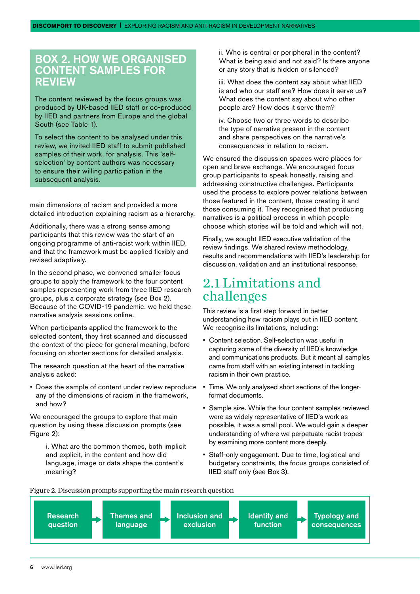#### <span id="page-7-0"></span>BOX 2. HOW WE ORGANISED CONTENT SAMPLES FOR **REVIEW**

The content reviewed by the focus groups was produced by UK-based IIED staff or co-produced by IIED and partners from Europe and the global South (see Table 1).

To select the content to be analysed under this review, we invited IIED staff to submit published samples of their work, for analysis. This 'selfselection' by content authors was necessary to ensure their willing participation in the subsequent analysis.

main dimensions of racism and provided a more detailed introduction explaining racism as a hierarchy.

Additionally, there was a strong sense among participants that this review was the start of an ongoing programme of anti-racist work within IIED, and that the framework must be applied flexibly and revised adaptively.

In the second phase, we convened smaller focus groups to apply the framework to the four content samples representing work from three IIED research groups, plus a corporate strategy (see Box 2). Because of the COVID-19 pandemic, we held these narrative analysis sessions online.

When participants applied the framework to the selected content, they first scanned and discussed the context of the piece for general meaning, before focusing on shorter sections for detailed analysis.

The research question at the heart of the narrative analysis asked:

• Does the sample of content under review reproduce any of the dimensions of racism in the framework, and how?

We encouraged the groups to explore that main question by using these discussion prompts (see Figure 2):

> i. What are the common themes, both implicit and explicit, in the content and how did language, image or data shape the content's meaning?

ii. Who is central or peripheral in the content? What is being said and not said? Is there anyone or any story that is hidden or silenced?

iii. What does the content say about what IIED is and who our staff are? How does it serve us? What does the content say about who other people are? How does it serve them?

iv. Choose two or three words to describe the type of narrative present in the content and share perspectives on the narrative's consequences in relation to racism.

We ensured the discussion spaces were places for open and brave exchange. We encouraged focus group participants to speak honestly, raising and addressing constructive challenges. Participants used the process to explore power relations between those featured in the content, those creating it and those consuming it. They recognised that producing narratives is a political process in which people choose which stories will be told and which will not.

Finally, we sought IIED executive validation of the review findings. We shared review methodology, results and recommendations with IIED's leadership for discussion, validation and an institutional response.

#### 2.1 Limitations and challenges

This review is a first step forward in better understanding how racism plays out in IIED content. We recognise its limitations, including:

- Content selection. Self-selection was useful in capturing some of the diversity of IIED's knowledge and communications products. But it meant all samples came from staff with an existing interest in tackling racism in their own practice.
- Time. We only analysed short sections of the longerformat documents.
- Sample size. While the four content samples reviewed were as widely representative of IIED's work as possible, it was a small pool. We would gain a deeper understanding of where we perpetuate racist tropes by examining more content more deeply.
- Staff-only engagement. Due to time, logistical and budgetary constraints, the focus groups consisted of IIED staff only (see Box 3).



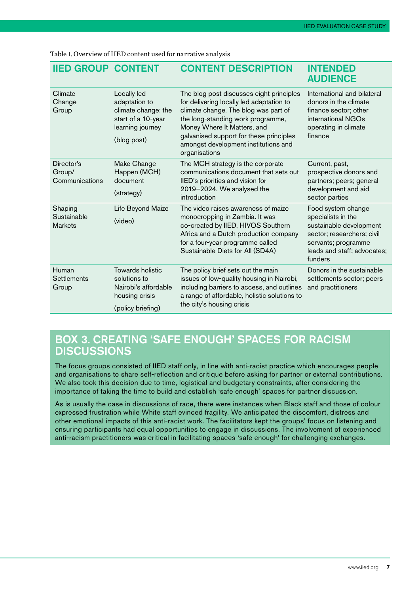| <b>IIED GROUP CONTENT</b>                |                                                                                                              | <b>CONTENT DESCRIPTION</b>                                                                                                                                                                                                                                                                           | <b>INTENDED</b><br><b>AUDIENCE</b>                                                                                                                                 |
|------------------------------------------|--------------------------------------------------------------------------------------------------------------|------------------------------------------------------------------------------------------------------------------------------------------------------------------------------------------------------------------------------------------------------------------------------------------------------|--------------------------------------------------------------------------------------------------------------------------------------------------------------------|
| Climate<br>Change<br>Group               | Locally led<br>adaptation to<br>climate change: the<br>start of a 10-year<br>learning journey<br>(blog post) | The blog post discusses eight principles<br>for delivering locally led adaptation to<br>climate change. The blog was part of<br>the long-standing work programme,<br>Money Where It Matters, and<br>galvanised support for these principles<br>amongst development institutions and<br>organisations | International and bilateral<br>donors in the climate<br>finance sector; other<br>international NGOs<br>operating in climate<br>finance                             |
| Director's<br>Group/<br>Communications   | Make Change<br>Happen (MCH)<br>document<br>(strategy)                                                        | The MCH strategy is the corporate<br>communications document that sets out<br>IIED's priorities and vision for<br>2019-2024. We analysed the<br>introduction                                                                                                                                         | Current, past,<br>prospective donors and<br>partners; peers; general<br>development and aid<br>sector parties                                                      |
| Shaping<br>Sustainable<br><b>Markets</b> | Life Beyond Maize<br>(video)                                                                                 | The video raises awareness of maize<br>monocropping in Zambia. It was<br>co-created by IIED, HIVOS Southern<br>Africa and a Dutch production company<br>for a four-year programme called<br>Sustainable Diets for All (SD4A)                                                                         | Food system change<br>specialists in the<br>sustainable development<br>sector; researchers; civil<br>servants; programme<br>leads and staff; advocates;<br>funders |
| Human<br><b>Settlements</b><br>Group     | Towards holistic<br>solutions to<br>Nairobi's affordable<br>housing crisis<br>(policy briefing)              | The policy brief sets out the main<br>issues of low-quality housing in Nairobi,<br>including barriers to access, and outlines<br>a range of affordable, holistic solutions to<br>the city's housing crisis                                                                                           | Donors in the sustainable<br>settlements sector; peers<br>and practitioners                                                                                        |

Table 1. Overview of IIED content used for narrative analysis

#### BOX 3. CREATING 'SAFE ENOUGH' SPACES FOR RACISM **DISCUSSIONS**

The focus groups consisted of IIED staff only, in line with anti-racist practice which encourages people and organisations to share self-reflection and critique before asking for partner or external contributions. We also took this decision due to time, logistical and budgetary constraints, after considering the importance of taking the time to build and establish 'safe enough' spaces for partner discussion.

As is usually the case in discussions of race, there were instances when Black staff and those of colour expressed frustration while White staff evinced fragility. We anticipated the discomfort, distress and other emotional impacts of this anti-racist work. The facilitators kept the groups' focus on listening and ensuring participants had equal opportunities to engage in discussions. The involvement of experienced anti-racism practitioners was critical in facilitating spaces 'safe enough' for challenging exchanges.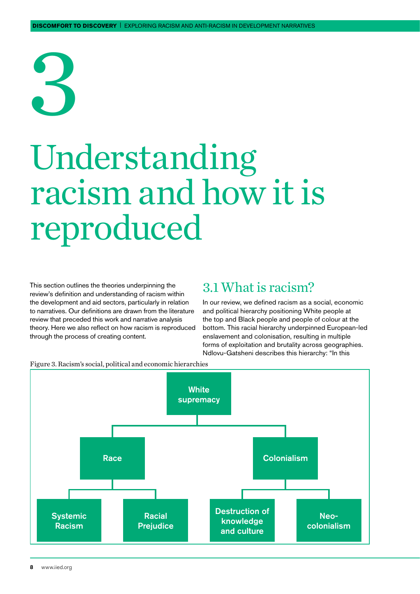# <span id="page-9-0"></span>3

### Understanding racism and how it is reproduced

This section outlines the theories underpinning the review's definition and understanding of racism within the development and aid sectors, particularly in relation to narratives. Our definitions are drawn from the literature review that preceded this work and narrative analysis theory. Here we also reflect on how racism is reproduced through the process of creating content.

#### 3.1 What is racism?

In our review, we defined racism as a social, economic and political hierarchy positioning White people at the top and Black people and people of colour at the bottom. This racial hierarchy underpinned European-led enslavement and colonisation, resulting in multiple forms of exploitation and brutality across geographies. Ndlovu-Gatsheni describes this hierarchy: "In this



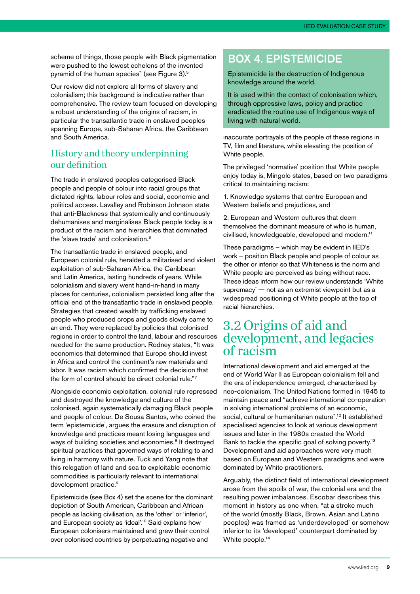<span id="page-10-0"></span>scheme of things, those people with Black pigmentation were pushed to the lowest echelons of the invented pyramid of the human species" (see Figure 3).5

Our review did not explore all forms of slavery and colonialism; this background is indicative rather than comprehensive. The review team focused on developing a robust understanding of the origins of racism, in particular the transatlantic trade in enslaved peoples spanning Europe, sub-Saharan Africa, the Caribbean and South America.

#### History and theory underpinning our definition

The trade in enslaved peoples categorised Black people and people of colour into racial groups that dictated rights, labour roles and social, economic and political access. Lavalley and Robinson Johnson state that anti-Blackness that systemically and continuously dehumanises and marginalises Black people today is a product of the racism and hierarchies that dominated the 'slave trade' and colonisation.6

The transatlantic trade in enslaved people, and European colonial rule, heralded a militarised and violent exploitation of sub-Saharan Africa, the Caribbean and Latin America, lasting hundreds of years. While colonialism and slavery went hand-in-hand in many places for centuries, colonialism persisted long after the official end of the transatlantic trade in enslaved people. Strategies that created wealth by trafficking enslaved people who produced crops and goods slowly came to an end. They were replaced by policies that colonised regions in order to control the land, labour and resources needed for the same production. Rodney states, "It was economics that determined that Europe should invest in Africa and control the continent's raw materials and labor. It was racism which confirmed the decision that the form of control should be direct colonial rule."7

Alongside economic exploitation, colonial rule repressed and destroyed the knowledge and culture of the colonised, again systematically damaging Black people and people of colour. De Sousa Santos, who coined the term 'epistemicide', argues the erasure and disruption of knowledge and practices meant losing languages and ways of building societies and economies.<sup>8</sup> It destroyed spiritual practices that governed ways of relating to and living in harmony with nature. Tuck and Yang note that this relegation of land and sea to exploitable economic commodities is particularly relevant to international development practice.<sup>9</sup>

Epistemicide (see Box 4) set the scene for the dominant depiction of South American, Caribbean and African people as lacking civilisation, as the 'other' or 'inferior', and European society as 'ideal'.10 Said explains how European colonisers maintained and grew their control over colonised countries by perpetuating negative and

#### BOX 4. EPISTEMICIDE

Epistemicide is the destruction of Indigenous knowledge around the world.

It is used within the context of colonisation which, through oppressive laws, policy and practice eradicated the routine use of Indigenous ways of living with natural world.

inaccurate portrayals of the people of these regions in TV, film and literature, while elevating the position of White people.

The privileged 'normative' position that White people enjoy today is, Mingolo states, based on two paradigms critical to maintaining racism:

1. Knowledge systems that centre European and Western beliefs and prejudices, and

2. European and Western cultures that deem themselves the dominant measure of who is human, civilised, knowledgeable, developed and modern.11

These paradigms – which may be evident in IIED's work – position Black people and people of colour as the other or inferior so that Whiteness is the norm and White people are perceived as being without race. These ideas inform how our review understands 'White supremacy' — not as an extremist viewpoint but as a widespread positioning of White people at the top of racial hierarchies.

#### 3.2 Origins of aid and development, and legacies of racism

International development and aid emerged at the end of World War II as European colonialism fell and the era of independence emerged, characterised by neo-colonialism. The United Nations formed in 1945 to maintain peace and "achieve international co-operation in solving international problems of an economic, social, cultural or humanitarian nature".<sup>12</sup> It established specialised agencies to look at various development issues and later in the 1980s created the World Bank to tackle the specific goal of solving poverty.<sup>13</sup> Development and aid approaches were very much based on European and Western paradigms and were dominated by White practitioners.

Arguably, the distinct field of international development arose from the spoils of war, the colonial era and the resulting power imbalances. Escobar describes this moment in history as one when, "at a stroke much of the world (mostly Black, Brown, Asian and Latino peoples) was framed as 'underdeveloped' or somehow inferior to its 'developed' counterpart dominated by White people.<sup>14</sup>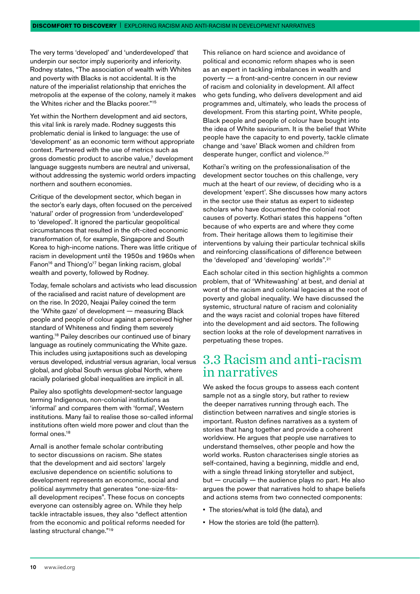<span id="page-11-0"></span>The very terms 'developed' and 'underdeveloped' that underpin our sector imply superiority and inferiority. Rodney states, "The association of wealth with Whites and poverty with Blacks is not accidental. It is the nature of the imperialist relationship that enriches the metropolis at the expense of the colony, namely it makes the Whites richer and the Blacks poorer."15

Yet within the Northern development and aid sectors, this vital link is rarely made. Rodney suggests this problematic denial is linked to language: the use of 'development' as an economic term without appropriate context. Partnered with the use of metrics such as gross domestic product to ascribe value,<sup>7</sup> development language suggests numbers are neutral and universal, without addressing the systemic world orders impacting northern and southern economies.

Critique of the development sector, which began in the sector's early days, often focused on the perceived 'natural' order of progression from 'underdeveloped' to 'developed'. It ignored the particular geopolitical circumstances that resulted in the oft-cited economic transformation of, for example, Singapore and South Korea to high-income nations. There was little critique of racism in development until the 1950s and 1960s when Fanon<sup>16</sup> and Thiong'o<sup>17</sup> began linking racism, global wealth and poverty, followed by Rodney.

Today, female scholars and activists who lead discussion of the racialised and racist nature of development are on the rise. In 2020, Neajai Pailey coined the term the 'White gaze' of development — measuring Black people and people of colour against a perceived higher standard of Whiteness and finding them severely wanting.18 Pailey describes our continued use of binary language as routinely communicating the White gaze. This includes using juxtapositions such as developing versus developed, industrial versus agrarian, local versus global, and global South versus global North, where racially polarised global inequalities are implicit in all.

Pailey also spotlights development-sector language terming Indigenous, non-colonial institutions as 'informal' and compares them with 'formal', Western institutions. Many fail to realise those so-called informal institutions often wield more power and clout than the formal ones.<sup>18</sup>

Arnall is another female scholar contributing to sector discussions on racism. She states that the development and aid sectors' largely exclusive dependence on scientific solutions to development represents an economic, social and political asymmetry that generates "one-size-fitsall development recipes". These focus on concepts everyone can ostensibly agree on. While they help tackle intractable issues, they also "deflect attention from the economic and political reforms needed for lasting structural change."<sup>19</sup>

This reliance on hard science and avoidance of political and economic reform shapes who is seen as an expert in tackling imbalances in wealth and poverty — a front-and-centre concern in our review of racism and coloniality in development. All affect who gets funding, who delivers development and aid programmes and, ultimately, who leads the process of development. From this starting point, White people, Black people and people of colour have bought into the idea of White saviourism. It is the belief that White people have the capacity to end poverty, tackle climate change and 'save' Black women and children from desperate hunger, conflict and violence.<sup>20</sup>

Kothari's writing on the professionalisation of the development sector touches on this challenge, very much at the heart of our review, of deciding who is a development 'expert'. She discusses how many actors in the sector use their status as expert to sidestep scholars who have documented the colonial root causes of poverty. Kothari states this happens "often because of who experts are and where they come from. Their heritage allows them to legitimise their interventions by valuing their particular technical skills and reinforcing classifications of difference between the 'developed' and 'developing' worlds".<sup>21</sup>

Each scholar cited in this section highlights a common problem, that of 'Whitewashing' at best, and denial at worst of the racism and colonial legacies at the root of poverty and global inequality. We have discussed the systemic, structural nature of racism and coloniality and the ways racist and colonial tropes have filtered into the development and aid sectors. The following section looks at the role of development narratives in perpetuating these tropes.

#### 3.3 Racism and anti-racism in narratives

We asked the focus groups to assess each content sample not as a single story, but rather to review the deeper narratives running through each. The distinction between narratives and single stories is important. Ruston defines narratives as a system of stories that hang together and provide a coherent worldview. He argues that people use narratives to understand themselves, other people and how the world works. Ruston characterises single stories as self-contained, having a beginning, middle and end, with a single thread linking storyteller and subject,  $but - crucially - the audience plays no part. He also$ argues the power that narratives hold to shape beliefs and actions stems from two connected components:

- The stories/what is told (the data), and
- How the stories are told (the pattern).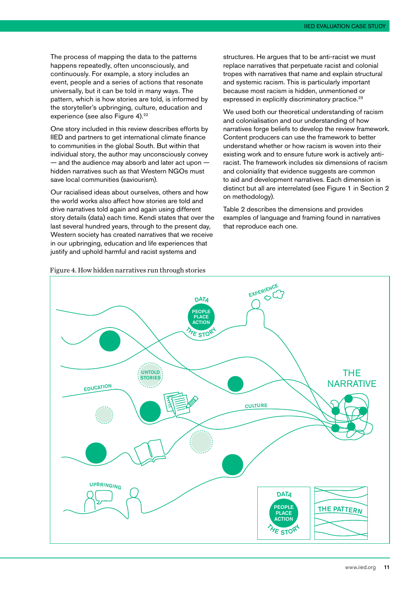The process of mapping the data to the patterns happens repeatedly, often unconsciously, and continuously. For example, a story includes an event, people and a series of actions that resonate universally, but it can be told in many ways. The pattern, which is how stories are told, is informed by the storyteller's upbringing, culture, education and experience (see also Figure 4).<sup>22</sup>

One story included in this review describes efforts by IIED and partners to get international climate finance to communities in the global South. But within that individual story, the author may unconsciously convey  $-$  and the audience may absorb and later act upon  $$ hidden narratives such as that Western NGOs must save local communities (saviourism).

Our racialised ideas about ourselves, others and how the world works also affect how stories are told and drive narratives told again and again using different story details (data) each time. Kendi states that over the last several hundred years, through to the present day, Western society has created narratives that we receive in our upbringing, education and life experiences that justify and uphold harmful and racist systems and

structures. He argues that to be anti-racist we must replace narratives that perpetuate racist and colonial tropes with narratives that name and explain structural and systemic racism. This is particularly important because most racism is hidden, unmentioned or expressed in explicitly discriminatory practice.<sup>23</sup>

We used both our theoretical understanding of racism and colonialisation and our understanding of how narratives forge beliefs to develop the review framework. Content producers can use the framework to better understand whether or how racism is woven into their existing work and to ensure future work is actively antiracist. The framework includes six dimensions of racism and coloniality that evidence suggests are common to aid and development narratives. Each dimension is distinct but all are interrelated (see Figure 1 in Section 2 on methodology).

Table 2 describes the dimensions and provides examples of language and framing found in narratives that reproduce each one.



Figure 4. How hidden narratives run through stories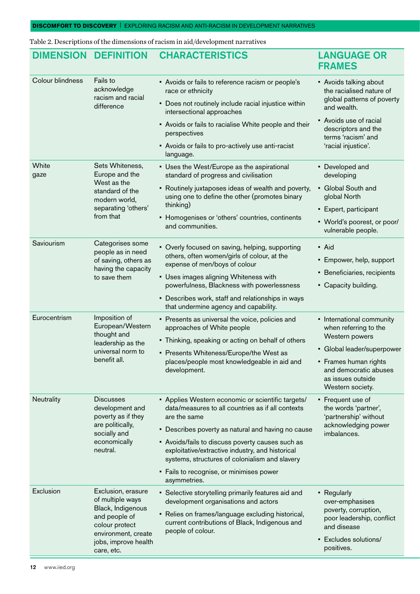Table 2. Descriptions of the dimensions of racism in aid/development narratives

| <b>DIMENSION</b> | <b>DEFINITION</b>                                                                                                                                           | <b>CHARACTERISTICS</b>                                                                                                                                                                                                                                                                                                                                                                             | <b>LANGUAGE OR</b><br><b>FRAMES</b>                                                                                                                                                           |                                                                     |
|------------------|-------------------------------------------------------------------------------------------------------------------------------------------------------------|----------------------------------------------------------------------------------------------------------------------------------------------------------------------------------------------------------------------------------------------------------------------------------------------------------------------------------------------------------------------------------------------------|-----------------------------------------------------------------------------------------------------------------------------------------------------------------------------------------------|---------------------------------------------------------------------|
| Colour blindness | Fails to<br>acknowledge<br>racism and racial<br>difference                                                                                                  | • Avoids or fails to reference racism or people's<br>race or ethnicity                                                                                                                                                                                                                                                                                                                             | • Avoids talking about<br>the racialised nature of<br>global patterns of poverty<br>and wealth.                                                                                               |                                                                     |
|                  |                                                                                                                                                             | • Does not routinely include racial injustice within<br>intersectional approaches                                                                                                                                                                                                                                                                                                                  |                                                                                                                                                                                               |                                                                     |
|                  |                                                                                                                                                             | perspectives<br>• Avoids or fails to pro-actively use anti-racist<br>language.                                                                                                                                                                                                                                                                                                                     | • Avoids or fails to racialise White people and their                                                                                                                                         | • Avoids use of racial<br>descriptors and the<br>terms 'racism' and |
|                  |                                                                                                                                                             |                                                                                                                                                                                                                                                                                                                                                                                                    |                                                                                                                                                                                               | 'racial injustice'.                                                 |
| White<br>gaze    | Sets Whiteness,<br>Europe and the<br>West as the<br>standard of the<br>modern world,<br>separating 'others'<br>from that                                    | • Uses the West/Europe as the aspirational<br>standard of progress and civilisation                                                                                                                                                                                                                                                                                                                | • Developed and<br>developing                                                                                                                                                                 |                                                                     |
|                  |                                                                                                                                                             | • Routinely juxtaposes ideas of wealth and poverty,<br>using one to define the other (promotes binary<br>thinking)                                                                                                                                                                                                                                                                                 | • Global South and<br>global North                                                                                                                                                            |                                                                     |
|                  |                                                                                                                                                             |                                                                                                                                                                                                                                                                                                                                                                                                    | • Expert, participant                                                                                                                                                                         |                                                                     |
|                  |                                                                                                                                                             | • Homogenises or 'others' countries, continents<br>and communities.                                                                                                                                                                                                                                                                                                                                | • World's poorest, or poor/<br>vulnerable people.                                                                                                                                             |                                                                     |
| Saviourism       | Categorises some<br>people as in need<br>of saving, others as<br>having the capacity<br>to save them                                                        | • Overly focused on saving, helping, supporting<br>others, often women/girls of colour, at the<br>expense of men/boys of colour<br>• Uses images aligning Whiteness with<br>powerfulness, Blackness with powerlessness                                                                                                                                                                             | • Aid<br>• Empower, help, support<br>• Beneficiaries, recipients<br>• Capacity building.                                                                                                      |                                                                     |
|                  |                                                                                                                                                             | • Describes work, staff and relationships in ways<br>that undermine agency and capability.                                                                                                                                                                                                                                                                                                         |                                                                                                                                                                                               |                                                                     |
| Eurocentrism     | Imposition of<br>European/Western<br>thought and<br>leadership as the<br>universal norm to<br>benefit all.                                                  | • Presents as universal the voice, policies and<br>approaches of White people<br>• Thinking, speaking or acting on behalf of others<br>• Presents Whiteness/Europe/the West as<br>places/people most knowledgeable in aid and<br>development.                                                                                                                                                      | • International community<br>when referring to the<br>Western powers<br>• Global leader/superpower<br>• Frames human rights<br>and democratic abuses<br>as issues outside<br>Western society. |                                                                     |
| Neutrality       | <b>Discusses</b><br>development and<br>poverty as if they<br>are politically,<br>socially and<br>economically<br>neutral.                                   | • Applies Western economic or scientific targets/<br>data/measures to all countries as if all contexts<br>are the same<br>• Describes poverty as natural and having no cause<br>• Avoids/fails to discuss poverty causes such as<br>exploitative/extractive industry, and historical<br>systems, structures of colonialism and slavery<br>• Fails to recognise, or minimises power<br>asymmetries. | • Frequent use of<br>the words 'partner',<br>'partnership' without<br>acknowledging power<br>imbalances.                                                                                      |                                                                     |
| Exclusion        | Exclusion, erasure<br>of multiple ways<br>Black, Indigenous<br>and people of<br>colour protect<br>environment, create<br>jobs, improve health<br>care, etc. | • Selective storytelling primarily features aid and<br>development organisations and actors<br>• Relies on frames/language excluding historical,<br>current contributions of Black, Indigenous and<br>people of colour.                                                                                                                                                                            | • Regularly<br>over-emphasises<br>poverty, corruption,<br>poor leadership, conflict<br>and disease<br>• Excludes solutions/<br>positives.                                                     |                                                                     |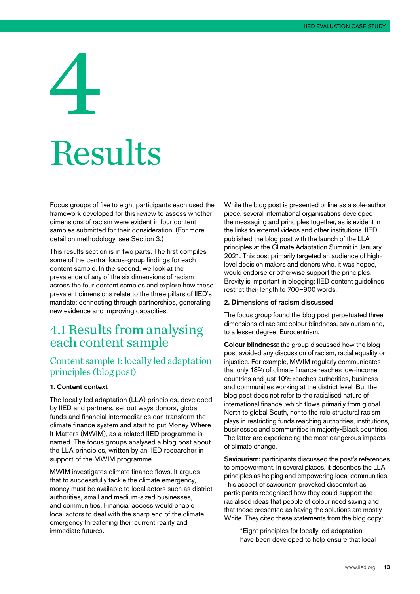## <span id="page-14-0"></span>4 Results

Focus groups of five to eight participants each used the framework developed for this review to assess whether dimensions of racism were evident in four content samples submitted for their consideration. (For more detail on methodology, see Section 3.)

This results section is in two parts. The first compiles some of the central focus-group findings for each content sample. In the second, we look at the prevalence of any of the six dimensions of racism across the four content samples and explore how these prevalent dimensions relate to the three pillars of IIED's mandate: connecting through partnerships, generating new evidence and improving capacities.

#### 4.1 Results from analysing each content sample

#### Content sample 1: locally led adaptation principles (blog post)

#### 1. Content context

The locally led adaptation (LLA) principles, developed by IIED and partners, set out ways donors, global funds and financial intermediaries can transform the climate finance system and start to put Money Where It Matters (MWIM), as a related IIED programme is named. The focus groups analysed a blog post about the LLA principles, written by an IIED researcher in support of the MWIM programme.

MWIM investigates climate finance flows. It argues that to successfully tackle the climate emergency, money must be available to local actors such as district authorities, small and medium-sized businesses, and communities. Financial access would enable local actors to deal with the sharp end of the climate emergency threatening their current reality and immediate futures.

While the blog post is presented online as a sole-author piece, several international organisations developed the messaging and principles together, as is evident in the links to external videos and other institutions. IIED published the blog post with the launch of the LLA principles at the Climate Adaptation Summit in January 2021. This post primarily targeted an audience of highlevel decision makers and donors who, it was hoped, would endorse or otherwise support the principles. Brevity is important in blogging: IIED content guidelines restrict their length to 700–900 words.

#### 2. Dimensions of racism discussed

The focus group found the blog post perpetuated three dimensions of racism: colour blindness, saviourism and, to a lesser degree, Eurocentrism.

Colour blindness: the group discussed how the blog post avoided any discussion of racism, racial equality or injustice. For example, MWIM regularly communicates that only 18% of climate finance reaches low-income countries and just 10% reaches authorities, business and communities working at the district level. But the blog post does not refer to the racialised nature of international finance, which flows primarily from global North to global South, nor to the role structural racism plays in restricting funds reaching authorities, institutions, businesses and communities in majority-Black countries. The latter are experiencing the most dangerous impacts of climate change.

Saviourism: participants discussed the post's references to empowerment. In several places, it describes the LLA principles as helping and empowering local communities. This aspect of saviourism provoked discomfort as participants recognised how they could support the racialised ideas that people of colour need saving and that those presented as having the solutions are mostly White. They cited these statements from the blog copy:

"Eight principles for locally led adaptation have been developed to help ensure that local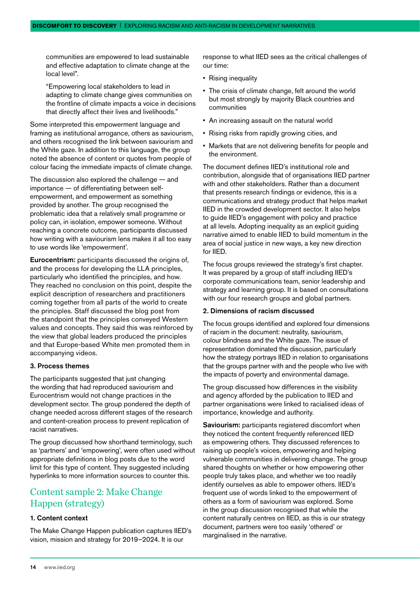communities are empowered to lead sustainable and effective adaptation to climate change at the local level".

"Empowering local stakeholders to lead in adapting to climate change gives communities on the frontline of climate impacts a voice in decisions that directly affect their lives and livelihoods."

Some interpreted this empowerment language and framing as institutional arrogance, others as saviourism, and others recognised the link between saviourism and the White gaze. In addition to this language, the group noted the absence of content or quotes from people of colour facing the immediate impacts of climate change.

The discussion also explored the challenge — and importance — of differentiating between selfempowerment, and empowerment as something provided by another. The group recognised the problematic idea that a relatively small programme or policy can, in isolation, empower someone. Without reaching a concrete outcome, participants discussed how writing with a saviourism lens makes it all too easy to use words like 'empowerment'.

Eurocentrism: participants discussed the origins of, and the process for developing the LLA principles, particularly who identified the principles, and how. They reached no conclusion on this point, despite the explicit description of researchers and practitioners coming together from all parts of the world to create the principles. Staff discussed the blog post from the standpoint that the principles conveyed Western values and concepts. They said this was reinforced by the view that global leaders produced the principles and that Europe-based White men promoted them in accompanying videos.

#### 3. Process themes

The participants suggested that just changing the wording that had reproduced saviourism and Eurocentrism would not change practices in the development sector. The group pondered the depth of change needed across different stages of the research and content-creation process to prevent replication of racist narratives.

The group discussed how shorthand terminology, such as 'partners' and 'empowering', were often used without appropriate definitions in blog posts due to the word limit for this type of content. They suggested including hyperlinks to more information sources to counter this.

#### Content sample 2: Make Change Happen (strategy)

#### 1. Content context

The Make Change Happen publication captures IIED's vision, mission and strategy for 2019–2024. It is our

response to what IIED sees as the critical challenges of our time:

- Rising inequality
- The crisis of climate change, felt around the world but most strongly by majority Black countries and communities
- An increasing assault on the natural world
- Rising risks from rapidly growing cities, and
- Markets that are not delivering benefits for people and the environment.

The document defines IIED's institutional role and contribution, alongside that of organisations IIED partner with and other stakeholders. Rather than a document that presents research findings or evidence, this is a communications and strategy product that helps market IIED in the crowded development sector. It also helps to guide IIED's engagement with policy and practice at all levels. Adopting inequality as an explicit guiding narrative aimed to enable IIED to build momentum in the area of social justice in new ways, a key new direction for IIED.

The focus groups reviewed the strategy's first chapter. It was prepared by a group of staff including IIED's corporate communications team, senior leadership and strategy and learning group. It is based on consultations with our four research groups and global partners.

#### 2. Dimensions of racism discussed

The focus groups identified and explored four dimensions of racism in the document: neutrality, saviourism, colour blindness and the White gaze. The issue of representation dominated the discussion, particularly how the strategy portrays IIED in relation to organisations that the groups partner with and the people who live with the impacts of poverty and environmental damage.

The group discussed how differences in the visibility and agency afforded by the publication to IIED and partner organisations were linked to racialised ideas of importance, knowledge and authority.

Saviourism: participants registered discomfort when they noticed the content frequently referenced IIED as empowering others. They discussed references to raising up people's voices, empowering and helping vulnerable communities in delivering change. The group shared thoughts on whether or how empowering other people truly takes place, and whether we too readily identify ourselves as able to empower others. IIED's frequent use of words linked to the empowerment of others as a form of saviourism was explored. Some in the group discussion recognised that while the content naturally centres on IIED, as this is our strategy document, partners were too easily 'othered' or marginalised in the narrative.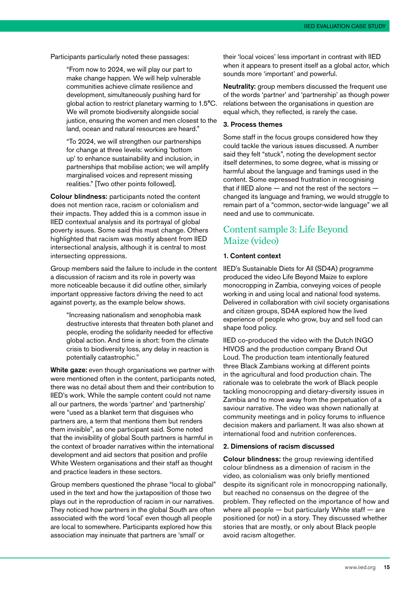Participants particularly noted these passages:

"From now to 2024, we will play our part to make change happen. We will help vulnerable communities achieve climate resilience and development, simultaneously pushing hard for global action to restrict planetary warming to 1.5°C. We will promote biodiversity alongside social justice, ensuring the women and men closest to the land, ocean and natural resources are heard."

"To 2024, we will strengthen our partnerships for change at three levels: working 'bottom up' to enhance sustainability and inclusion, in partnerships that mobilise action; we will amplify marginalised voices and represent missing realities." [Two other points followed].

Colour blindness: participants noted the content does not mention race, racism or colonialism and their impacts. They added this is a common issue in IIED contextual analysis and its portrayal of global poverty issues. Some said this must change. Others highlighted that racism was mostly absent from IIED intersectional analysis, although it is central to most intersecting oppressions.

Group members said the failure to include in the content a discussion of racism and its role in poverty was more noticeable because it did outline other, similarly important oppressive factors driving the need to act against poverty, as the example below shows.

"Increasing nationalism and xenophobia mask destructive interests that threaten both planet and people, eroding the solidarity needed for effective global action. And time is short: from the climate crisis to biodiversity loss, any delay in reaction is potentially catastrophic."

White gaze: even though organisations we partner with were mentioned often in the content, participants noted, there was no detail about them and their contribution to IIED's work. While the sample content could not name all our partners, the words 'partner' and 'partnership' were "used as a blanket term that disguises who partners are, a term that mentions them but renders them invisible", as one participant said. Some noted that the invisibility of global South partners is harmful in the context of broader narratives within the international development and aid sectors that position and profile White Western organisations and their staff as thought and practice leaders in these sectors.

Group members questioned the phrase "local to global" used in the text and how the juxtaposition of those two plays out in the reproduction of racism in our narratives. They noticed how partners in the global South are often associated with the word 'local' even though all people are local to somewhere. Participants explored how this association may insinuate that partners are 'small' or

their 'local voices' less important in contrast with IIED when it appears to present itself as a global actor, which sounds more 'important' and powerful.

Neutrality: group members discussed the frequent use of the words 'partner' and 'partnership' as though power relations between the organisations in question are equal which, they reflected, is rarely the case.

#### 3. Process themes

Some staff in the focus groups considered how they could tackle the various issues discussed. A number said they felt "stuck", noting the development sector itself determines, to some degree, what is missing or harmful about the language and framings used in the content. Some expressed frustration in recognising that if IIED alone — and not the rest of the sectors changed its language and framing, we would struggle to remain part of a "common, sector-wide language" we all need and use to communicate.

#### Content sample 3: Life Beyond Maize (video)

#### 1. Content context

IIED's Sustainable Diets for All (SD4A) programme produced the video Life Beyond Maize to explore monocropping in Zambia, conveying voices of people working in and using local and national food systems. Delivered in collaboration with civil society organisations and citizen groups, SD4A explored how the lived experience of people who grow, buy and sell food can shape food policy.

IIED co-produced the video with the Dutch INGO HIVOS and the production company Brand Out Loud. The production team intentionally featured three Black Zambians working at different points in the agricultural and food production chain. The rationale was to celebrate the work of Black people tackling monocropping and dietary-diversity issues in Zambia and to move away from the perpetuation of a saviour narrative. The video was shown nationally at community meetings and in policy forums to influence decision makers and parliament. It was also shown at international food and nutrition conferences.

#### 2. Dimensions of racism discussed

Colour blindness: the group reviewing identified colour blindness as a dimension of racism in the video, as colonialism was only briefly mentioned despite its significant role in monocropping nationally. but reached no consensus on the degree of the problem. They reflected on the importance of how and where all people  $-$  but particularly White staff  $-$  are positioned (or not) in a story. They discussed whether stories that are mostly, or only about Black people avoid racism altogether.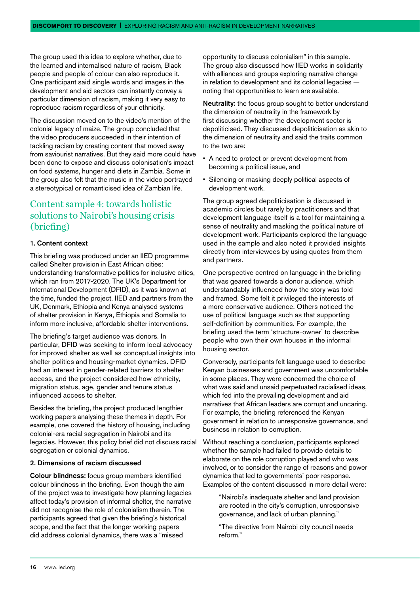The group used this idea to explore whether, due to the learned and internalised nature of racism, Black people and people of colour can also reproduce it. One participant said single words and images in the development and aid sectors can instantly convey a particular dimension of racism, making it very easy to reproduce racism regardless of your ethnicity.

The discussion moved on to the video's mention of the colonial legacy of maize. The group concluded that the video producers succeeded in their intention of tackling racism by creating content that moved away from saviourist narratives. But they said more could have been done to expose and discuss colonisation's impact on food systems, hunger and diets in Zambia. Some in the group also felt that the music in the video portrayed a stereotypical or romanticised idea of Zambian life.

#### Content sample 4: towards holistic solutions to Nairobi's housing crisis (briefing)

#### 1. Content context

This briefing was produced under an IIED programme called Shelter provision in East African cities: understanding transformative politics for inclusive cities, which ran from 2017-2020. The UK's Department for International Development (DFID), as it was known at the time, funded the project. IIED and partners from the UK, Denmark, Ethiopia and Kenya analysed systems of shelter provision in Kenya, Ethiopia and Somalia to inform more inclusive, affordable shelter interventions.

The briefing's target audience was donors. In particular, DFID was seeking to inform local advocacy for improved shelter as well as conceptual insights into shelter politics and housing-market dynamics. DFID had an interest in gender-related barriers to shelter access, and the project considered how ethnicity, migration status, age, gender and tenure status influenced access to shelter.

Besides the briefing, the project produced lengthier working papers analysing these themes in depth. For example, one covered the history of housing, including colonial-era racial segregation in Nairobi and its legacies. However, this policy brief did not discuss racial segregation or colonial dynamics.

#### 2. Dimensions of racism discussed

Colour blindness: focus group members identified colour blindness in the briefing. Even though the aim of the project was to investigate how planning legacies affect today's provision of informal shelter, the narrative did not recognise the role of colonialism therein. The participants agreed that given the briefing's historical scope, and the fact that the longer working papers did address colonial dynamics, there was a "missed

opportunity to discuss colonialism" in this sample. The group also discussed how IIED works in solidarity with alliances and groups exploring narrative change in relation to development and its colonial legacies noting that opportunities to learn are available.

Neutrality: the focus group sought to better understand the dimension of neutrality in the framework by first discussing whether the development sector is depoliticised. They discussed depoliticisation as akin to the dimension of neutrality and said the traits common to the two are:

- A need to protect or prevent development from becoming a political issue, and
- Silencing or masking deeply political aspects of development work.

The group agreed depoliticisation is discussed in academic circles but rarely by practitioners and that development language itself is a tool for maintaining a sense of neutrality and masking the political nature of development work. Participants explored the language used in the sample and also noted it provided insights directly from interviewees by using quotes from them and partners.

One perspective centred on language in the briefing that was geared towards a donor audience, which understandably influenced how the story was told and framed. Some felt it privileged the interests of a more conservative audience. Others noticed the use of political language such as that supporting self-definition by communities. For example, the briefing used the term 'structure-owner' to describe people who own their own houses in the informal housing sector.

Conversely, participants felt language used to describe Kenyan businesses and government was uncomfortable in some places. They were concerned the choice of what was said and unsaid perpetuated racialised ideas, which fed into the prevailing development and aid narratives that African leaders are corrupt and uncaring. For example, the briefing referenced the Kenyan government in relation to unresponsive governance, and business in relation to corruption.

Without reaching a conclusion, participants explored whether the sample had failed to provide details to elaborate on the role corruption played and who was involved, or to consider the range of reasons and power dynamics that led to governments' poor response. Examples of the content discussed in more detail were:

"Nairobi's inadequate shelter and land provision are rooted in the city's corruption, unresponsive governance, and lack of urban planning."

"The directive from Nairobi city council needs reform."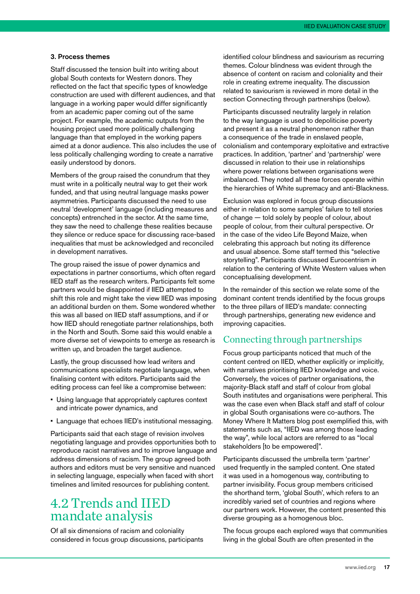#### <span id="page-18-0"></span>3. Process themes

Staff discussed the tension built into writing about global South contexts for Western donors. They reflected on the fact that specific types of knowledge construction are used with different audiences, and that language in a working paper would differ significantly from an academic paper coming out of the same project. For example, the academic outputs from the housing project used more politically challenging language than that employed in the working papers aimed at a donor audience. This also includes the use of less politically challenging wording to create a narrative easily understood by donors.

Members of the group raised the conundrum that they must write in a politically neutral way to get their work funded, and that using neutral language masks power asymmetries. Participants discussed the need to use neutral 'development' language (including measures and concepts) entrenched in the sector. At the same time, they saw the need to challenge these realities because they silence or reduce space for discussing race-based inequalities that must be acknowledged and reconciled in development narratives.

The group raised the issue of power dynamics and expectations in partner consortiums, which often regard IIED staff as the research writers. Participants felt some partners would be disappointed if IIED attempted to shift this role and might take the view IIED was imposing an additional burden on them. Some wondered whether this was all based on IIED staff assumptions, and if or how IIED should renegotiate partner relationships, both in the North and South. Some said this would enable a more diverse set of viewpoints to emerge as research is written up, and broaden the target audience.

Lastly, the group discussed how lead writers and communications specialists negotiate language, when finalising content with editors. Participants said the editing process can feel like a compromise between:

- Using language that appropriately captures context and intricate power dynamics, and
- Language that echoes IIED's institutional messaging.

Participants said that each stage of revision involves negotiating language and provides opportunities both to reproduce racist narratives and to improve language and address dimensions of racism. The group agreed both authors and editors must be very sensitive and nuanced in selecting language, especially when faced with short timelines and limited resources for publishing content.

#### 4.2 Trends and IIED mandate analysis

Of all six dimensions of racism and coloniality considered in focus group discussions, participants identified colour blindness and saviourism as recurring themes. Colour blindness was evident through the absence of content on racism and coloniality and their role in creating extreme inequality. The discussion related to saviourism is reviewed in more detail in the section Connecting through partnerships (below).

Participants discussed neutrality largely in relation to the way language is used to depoliticise poverty and present it as a neutral phenomenon rather than a consequence of the trade in enslaved people, colonialism and contemporary exploitative and extractive practices. In addition, 'partner' and 'partnership' were discussed in relation to their use in relationships where power relations between organisations were imbalanced. They noted all these forces operate within the hierarchies of White supremacy and anti-Blackness.

Exclusion was explored in focus group discussions either in relation to some samples' failure to tell stories of change — told solely by people of colour, about people of colour, from their cultural perspective. Or in the case of the video Life Beyond Maize, when celebrating this approach but noting its difference and usual absence. Some staff termed this "selective storytelling". Participants discussed Eurocentrism in relation to the centering of White Western values when conceptualising development.

In the remainder of this section we relate some of the dominant content trends identified by the focus groups to the three pillars of IIED's mandate: connecting through partnerships, generating new evidence and improving capacities.

#### Connecting through partnerships

Focus group participants noticed that much of the content centred on IIED, whether explicitly or implicitly, with narratives prioritising IIED knowledge and voice. Conversely, the voices of partner organisations, the majority-Black staff and staff of colour from global South institutes and organisations were peripheral. This was the case even when Black staff and staff of colour in global South organisations were co-authors. The Money Where It Matters blog post exemplified this, with statements such as, "IIED was among those leading the way", while local actors are referred to as "local stakeholders [to be empowered]".

Participants discussed the umbrella term 'partner' used frequently in the sampled content. One stated it was used in a homogenous way, contributing to partner invisibility. Focus group members criticised the shorthand term, 'global South', which refers to an incredibly varied set of countries and regions where our partners work. However, the content presented this diverse grouping as a homogenous bloc.

The focus groups each explored ways that communities living in the global South are often presented in the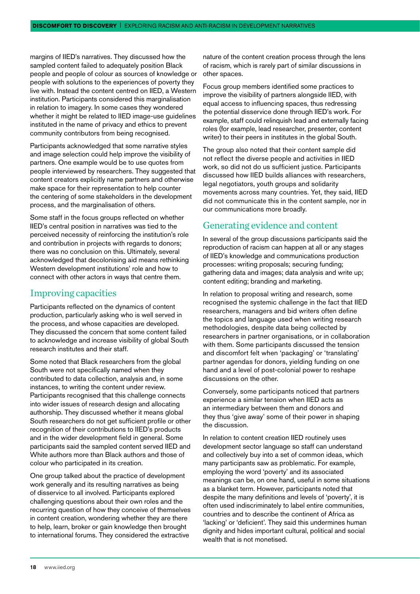margins of IIED's narratives. They discussed how the sampled content failed to adequately position Black people and people of colour as sources of knowledge or people with solutions to the experiences of poverty they live with. Instead the content centred on IIED, a Western institution. Participants considered this marginalisation in relation to imagery. In some cases they wondered whether it might be related to IIED image-use guidelines instituted in the name of privacy and ethics to prevent community contributors from being recognised.

Participants acknowledged that some narrative styles and image selection could help improve the visibility of partners. One example would be to use quotes from people interviewed by researchers. They suggested that content creators explicitly name partners and otherwise make space for their representation to help counter the centering of some stakeholders in the development process, and the marginalisation of others.

Some staff in the focus groups reflected on whether IIED's central position in narratives was tied to the perceived necessity of reinforcing the institution's role and contribution in projects with regards to donors; there was no conclusion on this. Ultimately, several acknowledged that decolonising aid means rethinking Western development institutions' role and how to connect with other actors in ways that centre them.

#### Improving capacities

Participants reflected on the dynamics of content production, particularly asking who is well served in the process, and whose capacities are developed. They discussed the concern that some content failed to acknowledge and increase visibility of global South research institutes and their staff.

Some noted that Black researchers from the global South were not specifically named when they contributed to data collection, analysis and, in some instances, to writing the content under review. Participants recognised that this challenge connects into wider issues of research design and allocating authorship. They discussed whether it means global South researchers do not get sufficient profile or other recognition of their contributions to IIED's products and in the wider development field in general. Some participants said the sampled content served IIED and White authors more than Black authors and those of colour who participated in its creation.

One group talked about the practice of development work generally and its resulting narratives as being of disservice to all involved. Participants explored challenging questions about their own roles and the recurring question of how they conceive of themselves in content creation, wondering whether they are there to help, learn, broker or gain knowledge then brought to international forums. They considered the extractive

nature of the content creation process through the lens of racism, which is rarely part of similar discussions in other spaces.

Focus group members identified some practices to improve the visibility of partners alongside IIED, with equal access to influencing spaces, thus redressing the potential disservice done through IIED's work. For example, staff could relinquish lead and externally facing roles (for example, lead researcher, presenter, content writer) to their peers in institutes in the global South.

The group also noted that their content sample did not reflect the diverse people and activities in IIED work, so did not do us sufficient justice. Participants discussed how IIED builds alliances with researchers, legal negotiators, youth groups and solidarity movements across many countries. Yet, they said, IIED did not communicate this in the content sample, nor in our communications more broadly.

#### Generating evidence and content

In several of the group discussions participants said the reproduction of racism can happen at all or any stages of IIED's knowledge and communications production processes: writing proposals; securing funding; gathering data and images; data analysis and write up; content editing; branding and marketing.

In relation to proposal writing and research, some recognised the systemic challenge in the fact that IIED researchers, managers and bid writers often define the topics and language used when writing research methodologies, despite data being collected by researchers in partner organisations, or in collaboration with them. Some participants discussed the tension and discomfort felt when 'packaging' or 'translating' partner agendas for donors, yielding funding on one hand and a level of post-colonial power to reshape discussions on the other.

Conversely, some participants noticed that partners experience a similar tension when IIED acts as an intermediary between them and donors and they thus 'give away' some of their power in shaping the discussion.

In relation to content creation IIED routinely uses development sector language so staff can understand and collectively buy into a set of common ideas, which many participants saw as problematic. For example, employing the word 'poverty' and its associated meanings can be, on one hand, useful in some situations as a blanket term. However, participants noted that despite the many definitions and levels of 'poverty', it is often used indiscriminately to label entire communities, countries and to describe the continent of Africa as 'lacking' or 'deficient'. They said this undermines human dignity and hides important cultural, political and social wealth that is not monetised.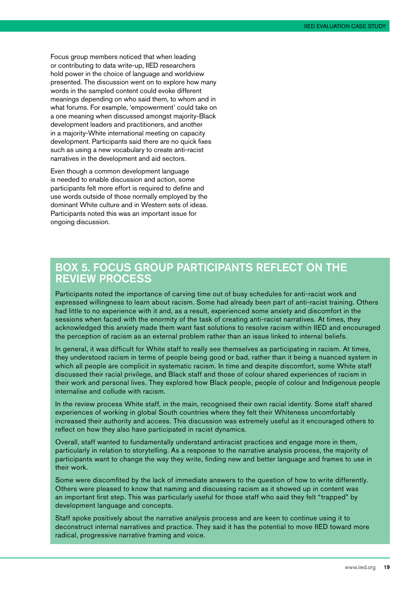Focus group members noticed that when leading or contributing to data write-up, IIED researchers hold power in the choice of language and worldview presented. The discussion went on to explore how many words in the sampled content could evoke different meanings depending on who said them, to whom and in what forums. For example, 'empowerment' could take on a one meaning when discussed amongst majority-Black development leaders and practitioners, and another in a majority-White international meeting on capacity development. Participants said there are no quick fixes such as using a new vocabulary to create anti-racist narratives in the development and aid sectors.

Even though a common development language is needed to enable discussion and action, some participants felt more effort is required to define and use words outside of those normally employed by the dominant White culture and in Western sets of ideas. Participants noted this was an important issue for ongoing discussion.

#### BOX 5. FOCUS GROUP PARTICIPANTS REFLECT ON THE REVIEW PROCESS

Participants noted the importance of carving time out of busy schedules for anti-racist work and expressed willingness to learn about racism. Some had already been part of anti-racist training. Others had little to no experience with it and, as a result, experienced some anxiety and discomfort in the sessions when faced with the enormity of the task of creating anti-racist narratives. At times, they acknowledged this anxiety made them want fast solutions to resolve racism within IIED and encouraged the perception of racism as an external problem rather than an issue linked to internal beliefs.

In general, it was difficult for White staff to really see themselves as participating in racism. At times, they understood racism in terms of people being good or bad, rather than it being a nuanced system in which all people are complicit in systematic racism. In time and despite discomfort, some White staff discussed their racial privilege, and Black staff and those of colour shared experiences of racism in their work and personal lives. They explored how Black people, people of colour and Indigenous people internalise and collude with racism.

In the review process White staff, in the main, recognised their own racial identity. Some staff shared experiences of working in global South countries where they felt their Whiteness uncomfortably increased their authority and access. This discussion was extremely useful as it encouraged others to reflect on how they also have participated in racist dynamics.

Overall, staff wanted to fundamentally understand antiracist practices and engage more in them, particularly in relation to storytelling. As a response to the narrative analysis process, the majority of participants want to change the way they write, finding new and better language and frames to use in their work.

Some were discomfited by the lack of immediate answers to the question of how to write differently. Others were pleased to know that naming and discussing racism as it showed up in content was an important first step. This was particularly useful for those staff who said they felt "trapped" by development language and concepts.

Staff spoke positively about the narrative analysis process and are keen to continue using it to deconstruct internal narratives and practice. They said it has the potential to move IIED toward more radical, progressive narrative framing and voice.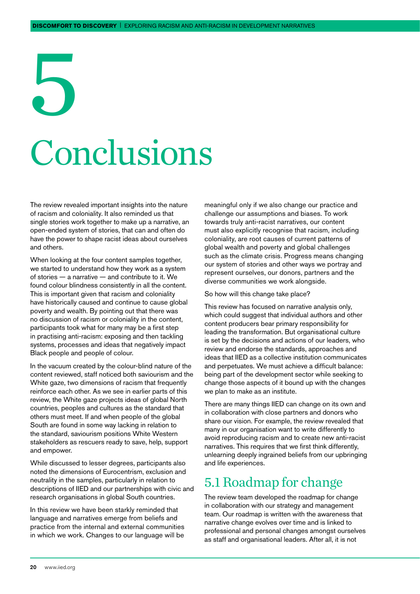## <span id="page-21-0"></span>5 Conclusions

The review revealed important insights into the nature of racism and coloniality. It also reminded us that single stories work together to make up a narrative, an open-ended system of stories, that can and often do have the power to shape racist ideas about ourselves and others.

When looking at the four content samples together, we started to understand how they work as a system of stories — a narrative — and contribute to it. We found colour blindness consistently in all the content. This is important given that racism and coloniality have historically caused and continue to cause global poverty and wealth. By pointing out that there was no discussion of racism or coloniality in the content, participants took what for many may be a first step in practising anti-racism: exposing and then tackling systems, processes and ideas that negatively impact Black people and people of colour.

In the vacuum created by the colour-blind nature of the content reviewed, staff noticed both saviourism and the White gaze, two dimensions of racism that frequently reinforce each other. As we see in earlier parts of this review, the White gaze projects ideas of global North countries, peoples and cultures as the standard that others must meet. If and when people of the global South are found in some way lacking in relation to the standard, saviourism positions White Western stakeholders as rescuers ready to save, help, support and empower.

While discussed to lesser degrees, participants also noted the dimensions of Eurocentrism, exclusion and neutrality in the samples, particularly in relation to descriptions of IIED and our partnerships with civic and research organisations in global South countries.

In this review we have been starkly reminded that language and narratives emerge from beliefs and practice from the internal and external communities in which we work. Changes to our language will be meaningful only if we also change our practice and challenge our assumptions and biases. To work towards truly anti-racist narratives, our content must also explicitly recognise that racism, including coloniality, are root causes of current patterns of global wealth and poverty and global challenges such as the climate crisis. Progress means changing our system of stories and other ways we portray and represent ourselves, our donors, partners and the diverse communities we work alongside.

#### So how will this change take place?

This review has focused on narrative analysis only, which could suggest that individual authors and other content producers bear primary responsibility for leading the transformation. But organisational culture is set by the decisions and actions of our leaders, who review and endorse the standards, approaches and ideas that IIED as a collective institution communicates and perpetuates. We must achieve a difficult balance: being part of the development sector while seeking to change those aspects of it bound up with the changes we plan to make as an institute.

There are many things IIED can change on its own and in collaboration with close partners and donors who share our vision. For example, the review revealed that many in our organisation want to write differently to avoid reproducing racism and to create new anti-racist narratives. This requires that we first think differently, unlearning deeply ingrained beliefs from our upbringing and life experiences.

#### 5.1 Roadmap for change

The review team developed the roadmap for change in collaboration with our strategy and management team. Our roadmap is written with the awareness that narrative change evolves over time and is linked to professional and personal changes amongst ourselves as staff and organisational leaders. After all, it is not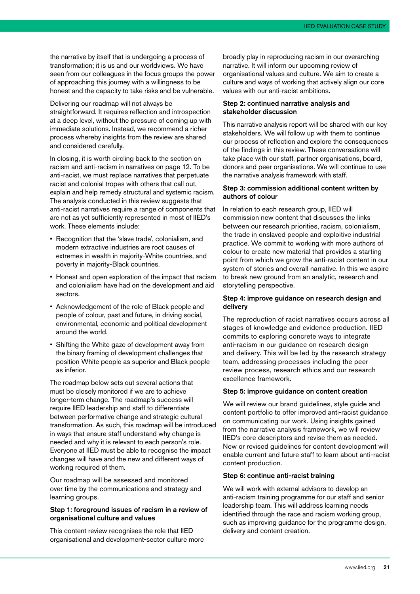the narrative by itself that is undergoing a process of transformation; it is us and our worldviews. We have seen from our colleagues in the focus groups the power of approaching this journey with a willingness to be honest and the capacity to take risks and be vulnerable.

Delivering our roadmap will not always be straightforward. It requires reflection and introspection at a deep level, without the pressure of coming up with immediate solutions. Instead, we recommend a richer process whereby insights from the review are shared and considered carefully.

In closing, it is worth circling back to the section on racism and anti-racism in narratives on page 12. To be anti-racist, we must replace narratives that perpetuate racist and colonial tropes with others that call out, explain and help remedy structural and systemic racism. The analysis conducted in this review suggests that anti-racist narratives require a range of components that are not as yet sufficiently represented in most of IIED's work. These elements include:

- Recognition that the 'slave trade', colonialism, and modern extractive industries are root causes of extremes in wealth in majority-White countries, and poverty in majority-Black countries.
- Honest and open exploration of the impact that racism and colonialism have had on the development and aid sectors.
- Acknowledgement of the role of Black people and people of colour, past and future, in driving social, environmental, economic and political development around the world.
- Shifting the White gaze of development away from the binary framing of development challenges that position White people as superior and Black people as inferior.

The roadmap below sets out several actions that must be closely monitored if we are to achieve longer-term change. The roadmap's success will require IIED leadership and staff to differentiate between performative change and strategic cultural transformation. As such, this roadmap will be introduced in ways that ensure staff understand why change is needed and why it is relevant to each person's role. Everyone at IIED must be able to recognise the impact changes will have and the new and different ways of working required of them.

Our roadmap will be assessed and monitored over time by the communications and strategy and learning groups.

#### Step 1: foreground issues of racism in a review of organisational culture and values

This content review recognises the role that IIED organisational and development-sector culture more broadly play in reproducing racism in our overarching narrative. It will inform our upcoming review of organisational values and culture. We aim to create a culture and ways of working that actively align our core values with our anti-racist ambitions.

#### Step 2: continued narrative analysis and stakeholder discussion

This narrative analysis report will be shared with our key stakeholders. We will follow up with them to continue our process of reflection and explore the consequences of the findings in this review. These conversations will take place with our staff, partner organisations, board, donors and peer organisations. We will continue to use the narrative analysis framework with staff.

#### Step 3: commission additional content written by authors of colour

In relation to each research group, IIED will commission new content that discusses the links between our research priorities, racism, colonialism, the trade in enslaved people and exploitive industrial practice. We commit to working with more authors of colour to create new material that provides a starting point from which we grow the anti-racist content in our system of stories and overall narrative. In this we aspire to break new ground from an analytic, research and storytelling perspective.

#### Step 4: improve guidance on research design and delivery

The reproduction of racist narratives occurs across all stages of knowledge and evidence production. IIED commits to exploring concrete ways to integrate anti-racism in our quidance on research design and delivery. This will be led by the research strategy team, addressing processes including the peer review process, research ethics and our research excellence framework.

#### Step 5: improve guidance on content creation

We will review our brand guidelines, style guide and content portfolio to offer improved anti-racist guidance on communicating our work. Using insights gained from the narrative analysis framework, we will review IIED's core descriptors and revise them as needed. New or revised guidelines for content development will enable current and future staff to learn about anti-racist content production.

#### Step 6: continue anti-racist training

We will work with external advisors to develop an anti-racism training programme for our staff and senior leadership team. This will address learning needs identified through the race and racism working group. such as improving guidance for the programme design, delivery and content creation.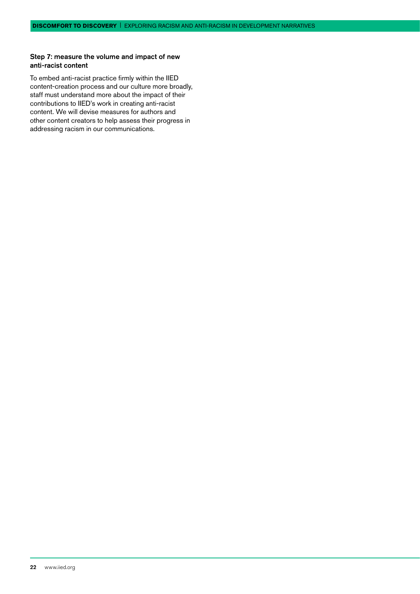#### Step 7: measure the volume and impact of new anti-racist content

To embed anti-racist practice firmly within the IIED content-creation process and our culture more broadly, staff must understand more about the impact of their contributions to IIED's work in creating anti-racist content. We will devise measures for authors and other content creators to help assess their progress in addressing racism in our communications.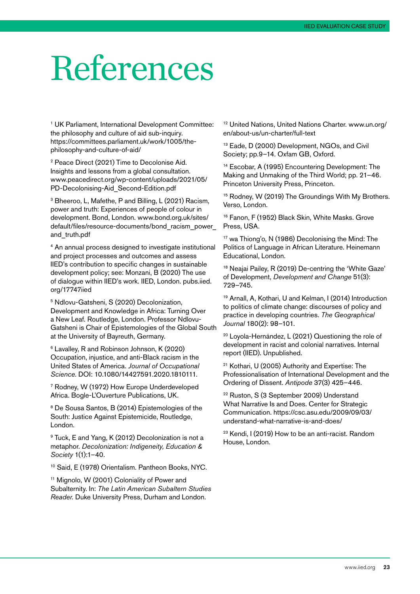### <span id="page-24-0"></span>References

1 UK Parliament, International Development Committee: the philosophy and culture of aid sub-inquiry. [https://committees.parliament.uk/work/1005/the](https://committees.parliament.uk/work/1005/the-philosophy-and-culture-of-aid/)[philosophy-and-culture-of-aid/](https://committees.parliament.uk/work/1005/the-philosophy-and-culture-of-aid/)

<sup>2</sup> Peace Direct (2021) Time to Decolonise Aid. Insights and lessons from a global consultation. [www.peacedirect.org/wp-content/uploads/2021/05/](http://www.peacedirect.org/wp-content/uploads/2021/05/PD-Decolonising-Aid_Second-Edition.pdf) [PD-Decolonising-Aid\\_Second-Edition.pdf](http://www.peacedirect.org/wp-content/uploads/2021/05/PD-Decolonising-Aid_Second-Edition.pdf)

<sup>3</sup> Bheeroo, L, Mafethe, P and Billing, L (2021) Racism, power and truth: Experiences of people of colour in development. Bond, London. [www.bond.org.uk/sites/](http://www.bond.org.uk/sites/default/files/resource-documents/bond_racism_power_and_truth.pdf) [default/files/resource-documents/bond\\_racism\\_power\\_](http://www.bond.org.uk/sites/default/files/resource-documents/bond_racism_power_and_truth.pdf) [and\\_truth.pdf](http://www.bond.org.uk/sites/default/files/resource-documents/bond_racism_power_and_truth.pdf)

4 An annual process designed to investigate institutional and project processes and outcomes and assess IIED's contribution to specific changes in sustainable development policy; see: Monzani, B (2020) The use of dialogue within IIED's work. IIED, London. [pubs.iied.](http://pubs.iied.org/17747iied) [org/17747iied](http://pubs.iied.org/17747iied)

5 Ndlovu-Gatsheni, S (2020) Decolonization, Development and Knowledge in Africa: Turning Over a New Leaf. Routledge, London. Professor Ndlovu-Gatsheni is Chair of Epistemologies of the Global South at the University of Bayreuth, Germany.

6 Lavalley, R and Robinson Johnson, K (2020) Occupation, injustice, and anti-Black racism in the United States of America. *Journal of Occupational Science*. DOI: 10.1080/14427591.2020.1810111.

7 Rodney, W (1972) How Europe Underdeveloped Africa. Bogle-L'Ouverture Publications, UK.

<sup>8</sup> De Sousa Santos, B (2014) Epistemologies of the South: Justice Against Epistemicide, Routledge, London.

<sup>9</sup> Tuck, E and Yang, K (2012) Decolonization is not a metaphor. *Decolonization: Indigeneity, Education & Society* 1(1):1–40.

10 Said, E (1978) Orientalism. Pantheon Books, NYC.

11 Mignolo, W (2001) Coloniality of Power and Subalternity. In: *The Latin American Subaltern Studies Reader.* Duke University Press, Durham and London.

12 United Nations, United Nations Charter. [www.un.org/](http://www.un.org/en/about-us/un-charter/full-text) [en/about-us/un-charter/full-text](http://www.un.org/en/about-us/un-charter/full-text)

<sup>13</sup> Eade, D (2000) Development, NGOs, and Civil Society; pp.9–14. Oxfam GB, Oxford.

14 Escobar, A (1995) Encountering Development: The Making and Unmaking of the Third World; pp. 21–46. Princeton University Press, Princeton.

<sup>15</sup> Rodney, W (2019) The Groundings With My Brothers. Verso, London.

<sup>16</sup> Fanon, F (1952) Black Skin, White Masks. Grove Press, USA.

17 wa Thiong'o, N (1986) Decolonising the Mind: The Politics of Language in African Literature. Heinemann Educational, London.

18 Neajai Pailey, R (2019) De-centring the 'White Gaze' of Development, *Development and Change* 51(3): 729–745.

19 Arnall, A, Kothari, U and Kelman, I (2014) Introduction to politics of climate change: discourses of policy and practice in developing countries. *The Geographical Journal* 180(2): 98–101.

20 Loyola-Hernández, L (2021) Questioning the role of development in racist and colonial narratives. Internal report (IIED). Unpublished.

21 Kothari, U (2005) Authority and Expertise: The Professionalisation of International Development and the Ordering of Dissent. *Antipode* 37(3) 425–446.

22 Ruston, S (3 September 2009) Understand What Narrative Is and Does. Center for Strategic Communication. [https://csc.asu.edu/2009/09/03/](https://csc.asu.edu/2009/09/03/understand-what-narrative-is-and-does/) [understand-what-narrative-is-and-does/](https://csc.asu.edu/2009/09/03/understand-what-narrative-is-and-does/)

23 Kendi, I (2019) How to be an anti-racist. Random House, London.